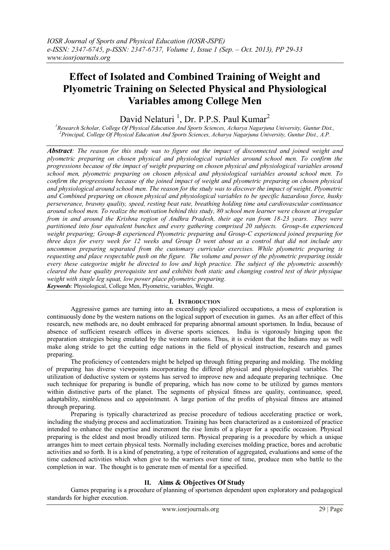# **Effect of Isolated and Combined Training of Weight and Plyometric Training on Selected Physical and Physiological Variables among College Men**

## David Nelaturi<sup>1</sup>, Dr. P.P.S. Paul Kumar<sup>2</sup>

*<sup>1</sup>Research Scholar, College Of Physical Education And Sports Sciences, Acharya Nagarjuna University, Guntur Dist., <sup>2</sup>Principal, College Of Physical Education And Sports Sciences, Acharya Nagarjuna University, Guntur Dist., A.P.*

*Abstract: The reason for this study was to figure out the impact of disconnected and joined weight and plyometric preparing on chosen physical and physiological variables around school men. To confirm the progressions because of the impact of weight preparing on chosen physical and physiological variables around school men, plyometric preparing on chosen physical and physiological variables around school men. To confirm the progressions because of the joined impact of weight and plyometric preparing on chosen physical and physiological around school men. The reason for the study was to discover the impact of weight, Plyometric and Combined preparing on chosen physical and physiological variables to be specific hazardous force, husky perseverance, brawny quality, speed, resting beat rate, breathing holding time and cardiovascular continuance around school men. To realize the motivation behind this study, 80 school men learner were chosen at irregular from in and around the Krishna region of Andhra Pradesh, their age ran from 18-23 years. They were partitioned into four equivalent bunches and every gathering comprised 20 subjects. Group-An experienced weight preparing; Group-B experienced Plyometric preparing and Group-C experienced joined preparing for three days for every week for 12 weeks and Group D went about as a control that did not include any uncommon preparing separated from the customary curricular exercises. While plyometric preparing is requesting and place respectable push on the figure. The volume and power of the plyometric preparing inside every these categorise might be directed to low and high practice. The subject of the plyometric assembly cleared the base quality prerequisite test and exhibits both static and changing control test of their physique weight with single leg squat, low power place plyometric preparing. Keywords*: Physiological, College Men, Plyometric, variables, Weight.

### **I. INTRODUCTION**

Aggressive games are turning into an exceedingly specialized occupations, a mess of exploration is continuously done by the western nations on the logical support of execution in games. As an after effect of this research, new methods are, no doubt embraced for preparing abnormal amount sportsmen. In India, because of absence of sufficient research offices in diverse sports sciences. India is vigorously hinging upon the preparation strategies being emulated by the western nations. Thus, it is evident that the Indians may as well make along stride to get the cutting edge nations in the field of physical instruction, research and games preparing.

The proficiency of contenders might be helped up through fitting preparing and molding. The molding of preparing has diverse viewpoints incorporating the differed physical and physiological variables. The utilization of deductive system or systems has served to improve new and adequate preparing technique. One such technique for preparing is bundle of preparing, which has now come to be utilized by games mentors within distinctive parts of the planet. The segments of physical fitness are quality, continuance, speed, adaptability, nimbleness and co appointment. A large portion of the profits of physical fitness are attained through preparing.

Preparing is typically characterized as precise procedure of tedious accelerating practice or work, including the studying process and acclimatization. Training has been characterized as a customized of practice intended to enhance the expertise and increment the rise limits of a player for a specific occasion. Physical preparing is the eldest and most broadly utilized term. Physical preparing is a procedure by which a unique arranges him to meet certain physical tests. Normally including exercises molding practice, bores and acrobatic activities and so forth. It is a kind of penetrating, a type of reiteration of aggregated, evaluations and some of the time cadenced activities which when give to the warriors over time of time, produce men who battle to the completion in war. The thought is to generate men of mental for a specified.

#### **II. Aims & Objectives Of Study**

Games preparing is a procedure of planning of sportsmen dependent upon exploratory and pedagogical standards for higher execution.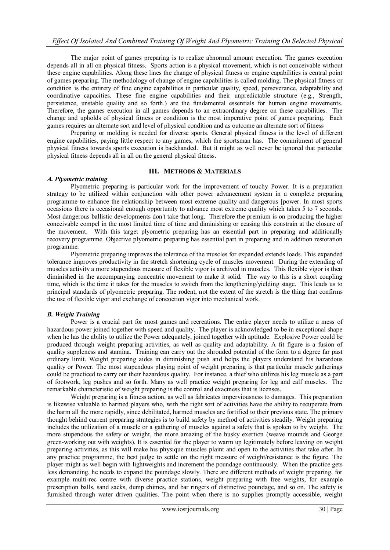The major point of games preparing is to realize abnormal amount execution. The games execution depends all in all on physical fitness. Sports action is a physical movement, which is not conceivable without these engine capabilities. Along these lines the change of physical fitness or engine capabilities is central point of games preparing. The methodology of change of engine capabilities is called molding. The physical fitness or condition is the entirety of fine engine capabilities in particular quality, speed, perseverance, adaptability and coordinative capacities. These fine engine capabilities and their unpredictable structure (e.g., Strength, persistence, unstable quality and so forth.) are the fundamental essentials for human engine movements. Therefore, the games execution in all games depends to an extraordinary degree on these capabilities. The change and upholds of physical fitness or condition is the most imperative point of games preparing. Each games requires an alternate sort and level of physical condition and as outcome an alternate sort of fitness

Preparing or molding is needed for diverse sports. General physical fitness is the level of different engine capabilities, paying little respect to any games, which the sportsman has. The commitment of general physical fitness towards sports execution is backhanded. But it might as well never be ignored that particular physical fitness depends all in all on the general physical fitness.

#### **III. METHODS & MATERIALS**

#### *A. Plyometric training*

Plyometric preparing is particular work for the improvement of touchy Power. It is a preparation strategy to be utilized within conjunction with other power advancement system in a complete preparing programme to enhance the relationship between most extreme quality and dangerous [power. In most sports occasions there is occasional enough opportunity to advance most extreme quality which takes 5 to 7 seconds. Most dangerous ballistic developments don't take that long. Therefore the premium is on producing the higher conceivable compel in the most limited time of time and diminishing or ceasing this constrain at the closure of the movement. With this target plyometric preparing has an essential part in preparing and additionally recovery programme. Objective plyometric preparing has essential part in preparing and in addition restoration programme.

Plyometric preparing improves the tolerance of the muscles for expanded extends loads. This expanded tolerance improves productivity in the stretch shortening cycle of muscles movement. During the extending of muscles activity a more stupendous measure of flexible vigor is archived in muscles. This flexible vigor is then diminished in the accompanying concentric movement to make it solid. The way to this is a short coupling time, which is the time it takes for the muscles to switch from the lengthening/yielding stage. This leads us to principal standards of plyometric preparing. The rodent, not the extent of the stretch is the thing that confirms the use of flexible vigor and exchange of concoction vigor into mechanical work.

#### *B. Weight Training*

Power is a crucial part for most games and recreations. The entire player needs to utilize a mess of hazardous power joined together with speed and quality. The player is acknowledged to be in exceptional shape when he has the ability to utilize the Power adequately, joined together with aptitude. Explosive Power could be produced through weight preparing activities, as well as quality and adaptability. A fit figure is a fusion of quality suppleness and stamina. Training can carry out the shrouded potential of the form to a degree far past ordinary limit. Weight preparing aides in diminishing push and helps the players understand his hazardous quality or Power. The most stupendous playing point of weight preparing is that particular muscle gatherings could be practiced to carry out their hazardous quality. For instance, a thief who utilizes his leg muscle as a part of footwork, leg pushes and so forth. Many as well practice weight preparing for leg and calf muscles. The remarkable characteristic of weight preparing is the control and exactness that is licenses.

Weight preparing is a fitness action, as well as fabricates imperviousness to damages. This preparation is likewise valuable to harmed players who, with the right sort of activities have the ability to recuperate from the harm all the more rapidly, since debilitated, harmed muscles are fortified to their previous state. The primary thought behind current preparing strategies is to build safety by method of activities steadily. Weight preparing includes the utilization of a muscle or a gathering of muscles against a safety that is spoken to by weight. The more stupendous the safety or weight, the more amazing of the husky exertion (weave mounds and George green-working out with weights). It is essential for the player to warm up legitimately before leaving on weight preparing activities, as this will make his physique muscles plaint and open to the activities that take after. In any practice programme, the best judge to settle on the right measure of weight/resistance is the figure. The player might as well begin with lightweights and increment the poundage continuously. When the practice gets less demanding, he needs to expand the poundage slowly. There are different methods of weight preparing, for example multi-rec centre with diverse practice stations, weight preparing with free weights, for example prescription balls, sand sacks, dump chimes, and bar ringers of distinctive poundage, and so on. The safety is furnished through water driven qualities. The point when there is no supplies promptly accessible, weight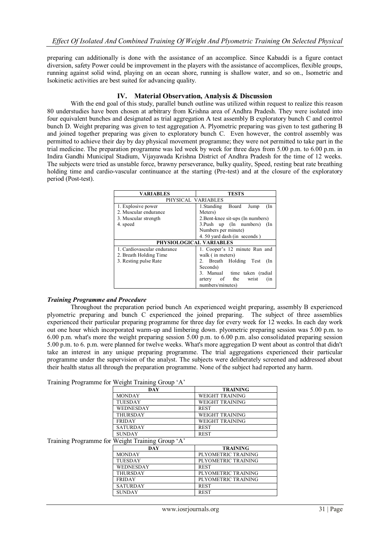preparing can additionally is done with the assistance of an accomplice. Since Kabaddi is a figure contact diversion, safety Power could be improvement in the players with the assistance of accomplices, flexible groups, running against solid wind, playing on an ocean shore, running is shallow water, and so on., Isometric and Isokinetic activities are best suited for advancing quality.

#### **IV. Material Observation, Analysis & Discussion**

With the end goal of this study, parallel bunch outline was utilized within request to realize this reason 80 understudies have been chosen at arbitrary from Krishna area of Andhra Pradesh. They were isolated into four equivalent bunches and designated as trial aggregation A test assembly B exploratory bunch C and control bunch D. Weight preparing was given to test aggregation A. Plyometric preparing was given to test gathering B and joined together preparing was given to exploratory bunch C. Even however, the control assembly was permitted to achieve their day by day physical movement programme; they were not permitted to take part in the trial medicine. The preparation programme was led week by week for three days from 5.00 p.m. to 6.00 p.m. in Indira Gandhi Municipal Stadium, Vijayawada Krishna District of Andhra Pradesh for the time of 12 weeks. The subjects were tried as unstable force, brawny perseverance, bulky quality, Speed, resting beat rate breathing holding time and cardio-vascular continuance at the starting (Pre-test) and at the closure of the exploratory period (Post-test).

| <b>VARIABLES</b>            | <b>TESTS</b>                       |  |
|-----------------------------|------------------------------------|--|
| PHYSICAL VARIABLES          |                                    |  |
| 1. Explosive power          | 1.Standing Board<br>Jump<br>$(\ln$ |  |
| 2. Muscular endurance       | Meters)                            |  |
| 3. Muscular strength        | 2. Bent-knee sit-ups (In numbers)  |  |
| 4. speed                    | 3. Push up (In numbers) (In        |  |
|                             | Numbers per minute)                |  |
|                             | 4.50 yard dash (in seconds)        |  |
| PHYSIOLOGICAL VARIABLES     |                                    |  |
| 1. Cardiovascular endurance | 1. Cooper's 12 minute Run and      |  |
| 2. Breath Holding Time      | walk (in meters)                   |  |
| 3. Resting pulse Rate       | 2. Breath Holding Test<br>(In      |  |
|                             | Seconds)                           |  |
|                             | 3. Manual time taken (radial       |  |
|                             | artery of the<br>wrist<br>(nn)     |  |
|                             | numbers/minutes)                   |  |

#### *Training Programme and Procedure*

Throughout the preparation period bunch An experienced weight preparing, assembly B experienced plyometric preparing and bunch C experienced the joined preparing. The subject of three assemblies experienced their particular preparing programme for three day for every week for 12 weeks. In each day work out one hour which incorporated warm-up and limbering down. plyometric preparing session was 5.00 p.m. to 6.00 p.m. what's more the weight preparing session 5.00 p.m. to 6.00 p.m. also consolidated preparing session 5.00 p.m. to 6. p.m. were planned for twelve weeks. What's more aggregation D went about as control that didn't take an interest in any unique preparing programme. The trial aggregations experienced their particular programme under the supervision of the analyst. The subjects were deliberately screened and addressed about their health status all through the preparation programme. None of the subject had reported any harm.

Training Programme for Weight Training Group 'A'

| DAY              | <b>TRAINING</b>        |
|------------------|------------------------|
| <b>MONDAY</b>    | WEIGHT TRAINING        |
| <b>TUESDAY</b>   | WEIGHT TRAINING        |
| <b>WEDNESDAY</b> | <b>REST</b>            |
| <b>THURSDAY</b>  | <b>WEIGHT TRAINING</b> |
| <b>FRIDAY</b>    | WEIGHT TRAINING        |
| <b>SATURDAY</b>  | <b>REST</b>            |
| <b>SUNDAY</b>    | <b>REST</b>            |

Training Programme for Weight Training Group 'A'

| <b>DAY</b>      | <b>TRAINING</b>     |
|-----------------|---------------------|
| <b>MONDAY</b>   | PLYOMETRIC TRAINING |
| <b>TUESDAY</b>  | PLYOMETRIC TRAINING |
| WEDNESDAY       | <b>REST</b>         |
| <b>THURSDAY</b> | PLYOMETRIC TRAINING |
| <b>FRIDAY</b>   | PLYOMETRIC TRAINING |
| <b>SATURDAY</b> | <b>REST</b>         |
| <b>SUNDAY</b>   | <b>REST</b>         |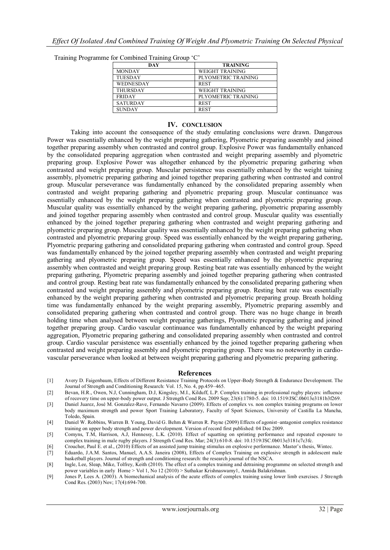Training Programme for Combined Training Group 'C'

| DAY             | <b>TRAINING</b>     |
|-----------------|---------------------|
| <b>MONDAY</b>   | WEIGHT TRAINING     |
| <b>TUESDAY</b>  | PLYOMETRIC TRAINING |
| WEDNESDAY       | <b>REST</b>         |
| <b>THURSDAY</b> | WEIGHT TRAINING     |
| <b>FRIDAY</b>   | PLYOMETRIC TRAINING |
| <b>SATURDAY</b> | <b>REST</b>         |
| <b>SUNDAY</b>   | <b>REST</b>         |

#### **IV. CONCLUSION**

Taking into account the consequence of the study emulating conclusions were drawn. Dangerous Power was essentially enhanced by the weight preparing gathering, Plyometric preparing assembly and joined together preparing assembly when contrasted and control group. Explosive Power was fundamentally enhanced by the consolidated preparing aggregation when contrasted and weight preparing assembly and plyometric preparing group. Explosive Power was altogether enhanced by the plyometric preparing gathering when contrasted and weight preparing group. Muscular persistence was essentially enhanced by the weight taining assembly, plyometric preparing gathering and joined together preparing gathering when contrasted and control group. Muscular perseverance was fundamentally enhanced by the consolidated preparing assembly when contrasted and weight preparing gathering and plyometric preparing group. Muscular continuance was essentially enhanced by the weight preparing gathering when contrasted and plyometric preparing group. Muscular quality was essentially enhanced by the weight preparing gathering, plyometric preparing assembly and joined together preparing assembly when contrasted and control group. Muscular quality was essentially enhanced by the joined together preparing gathering when contrasted and weight preparing gathering and plyometric preparing group. Muscular quality was essentially enhanced by the weight preparing gathering when contrasted and plyometric preparing group. Speed was essentially enhanced by the weight preparing gathering, Plyometric preparing gathering and consolidated preparing gathering when contrasted and control group. Speed was fundamentally enhanced by the joined together preparing assembly when contrasted and weight preparing gathering and plyometric preparing group. Speed was essentially enhanced by the plyometric preparing assembly when contrasted and weight preparing group. Resting beat rate was essentially enhanced by the weight preparing gathering, Plyometric preparing assembly and joined together preparing gathering when contrasted and control group. Resting beat rate was fundamentally enhanced by the consolidated preparing gathering when contrasted and weight preparing assembly and plyometric preparing group. Resting beat rate was essentially enhanced by the weight preparing gathering when contrasted and plyometric preparing group. Breath holding time was fundamentally enhanced by the weight preparing assembly, Plyometric preparing assembly and consolidated preparing gathering when contrasted and control group. There was no huge change in breath holding time when analysed between weight preparing gatherings, Plyometric preparing gathering and joined together preparing group. Cardio vascular continuance was fundamentally enhanced by the weight preparing aggregation, Plyometric preparing gathering and consolidated preparing assembly when contrasted and control group. Cardio vascular persistence was essentially enhanced by the joined together preparing gathering when contrasted and weight preparing assembly and plyometric preparing group. There was no noteworthy in cardiovascular perseverance when looked at between weight preparing gathering and plyometric preparing gathering.

#### **References**

- [1] Avery D. Faigenbaum, Effects of Different Resistance Training Protocols on Upper-Body Strength & Endurance Development. The Journal of Strength and Conditioning Research: Vol. 15, No. 4, pp.459–465.
- [2] Bevan, H.R., Owen, N.J, Cunningham, D.J, Kingsley, M.I., Kilduff, L.P. Complex training in professional rugby players: influence of recovery time on upper-body power output. J Strength Cond Res. 2009 Sep; 23(6):1780-5. doi: 10.1519/JSC.0b013e3181b3f269.
- [3] Daniel Juarez, José M. Gonzalez-Rave, Fernando Navarro (2009). Effects of complex vs. non complex training programs on lower body maximum strength and power Sport Training Laboratory, Faculty of Sport Sciences, University of Castilla La Mancha, Toledo, Spain.
- [4] Daniel W. Robbins, Warren B. Young, David G. Behm & Warren R. Payne (2009) Effects of agonist–antagonist complex resistance training on upper body strength and power development. Version of record first published: 04 Dec 2009.
- [5] Comyns, T.M, Harrison, A.J, Hennessy, L.K. (2010). Effect of squatting on sprinting performance and repeated exposure to complex training in male rugby players. J Strength Cond Res. Mar; 24(3):610-8. doi: 10.1519/JSC.0b013e3181c7c3fc.
- [6] Croucher, Paul E. et al., (2010) Effects of an assisted jump training stimulus on explosive performance. Master's thesis, Wintec.
- [7] Eduardo, J.A.M. Santos, Manuel, A.A.S. Janeira (2008), Effects of Complex Training on explosive strength in adolescent male basketball players. Journal of strength and conditioning research: the research journal of the NSCA.
- [8] Ingle, Lee, Sleap, Mike, Tolfrey, Keith (2010). The effect of a complex training and detraining programme on selected strength and power variables in early Home > Vol 1, No 12 (2010) > Suthakar Krishnaswamy1, Annida Balakrishnan.
- [9] Jones P, Lees A. (2003). A biomechanical analysis of the acute effects of complex training using lower limb exercises. J Strength Cond Res. (2003) Nov; 17(4):694-700.